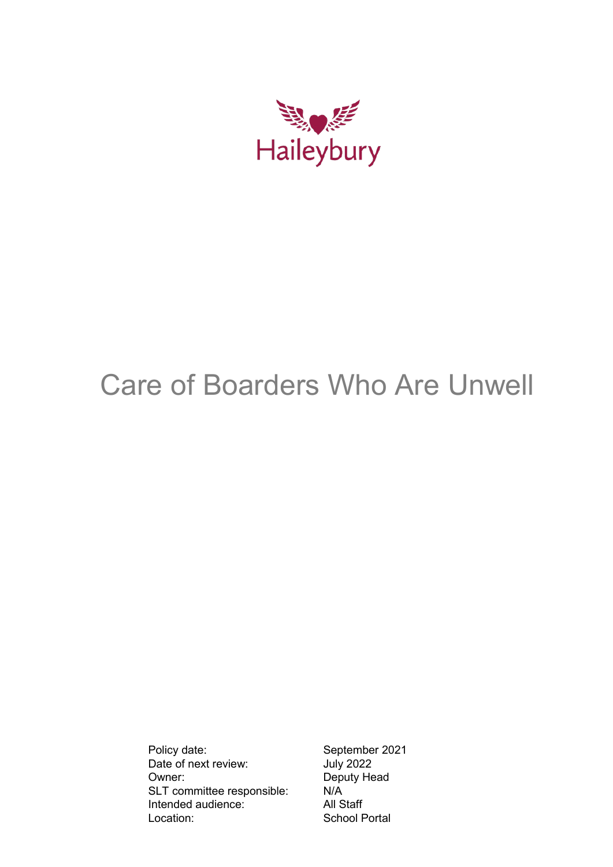

# Care of Boarders Who Are Unwell

Policy date: September 2021<br>Date of next review: July 2022 Date of next review: Owner: Deputy Head SLT committee responsible: N/A Intended audience: All Staff Location: School Portal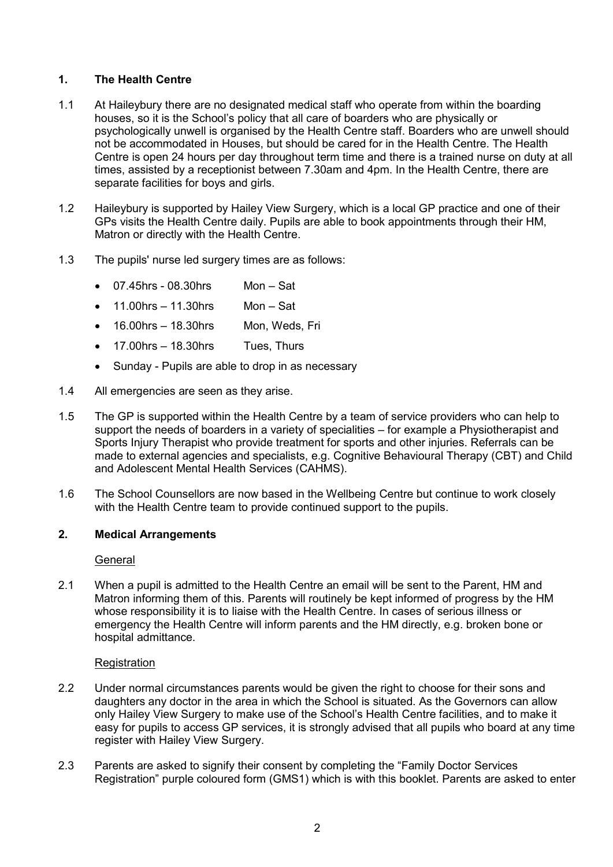# **1. The Health Centre**

- 1.1 At Haileybury there are no designated medical staff who operate from within the boarding houses, so it is the School's policy that all care of boarders who are physically or psychologically unwell is organised by the Health Centre staff. Boarders who are unwell should not be accommodated in Houses, but should be cared for in the Health Centre. The Health Centre is open 24 hours per day throughout term time and there is a trained nurse on duty at all times, assisted by a receptionist between 7.30am and 4pm. In the Health Centre, there are separate facilities for boys and girls.
- 1.2 Haileybury is supported by Hailey View Surgery, which is a local GP practice and one of their GPs visits the Health Centre daily. Pupils are able to book appointments through their HM, Matron or directly with the Health Centre.
- 1.3 The pupils' nurse led surgery times are as follows:
	- $\bullet$  07.45hrs 08.30hrs Mon Sat
	- $\bullet$  11.00hrs 11.30hrs Mon Sat
	- 16.00hrs 18.30hrs Mon, Weds, Fri
	- $\bullet$  17.00hrs 18.30hrs Tues, Thurs
	- Sunday Pupils are able to drop in as necessary
- 1.4 All emergencies are seen as they arise.
- 1.5 The GP is supported within the Health Centre by a team of service providers who can help to support the needs of boarders in a variety of specialities – for example a Physiotherapist and Sports Injury Therapist who provide treatment for sports and other injuries. Referrals can be made to external agencies and specialists, e.g. Cognitive Behavioural Therapy (CBT) and Child and Adolescent Mental Health Services (CAHMS).
- 1.6 The School Counsellors are now based in the Wellbeing Centre but continue to work closely with the Health Centre team to provide continued support to the pupils.

# **2. Medical Arrangements**

## **General**

2.1 When a pupil is admitted to the Health Centre an email will be sent to the Parent. HM and Matron informing them of this. Parents will routinely be kept informed of progress by the HM whose responsibility it is to liaise with the Health Centre. In cases of serious illness or emergency the Health Centre will inform parents and the HM directly, e.g. broken bone or hospital admittance.

# **Registration**

- 2.2 Under normal circumstances parents would be given the right to choose for their sons and daughters any doctor in the area in which the School is situated. As the Governors can allow only Hailey View Surgery to make use of the School's Health Centre facilities, and to make it easy for pupils to access GP services, it is strongly advised that all pupils who board at any time register with Hailey View Surgery.
- 2.3 Parents are asked to signify their consent by completing the "Family Doctor Services Registration" purple coloured form (GMS1) which is with this booklet. Parents are asked to enter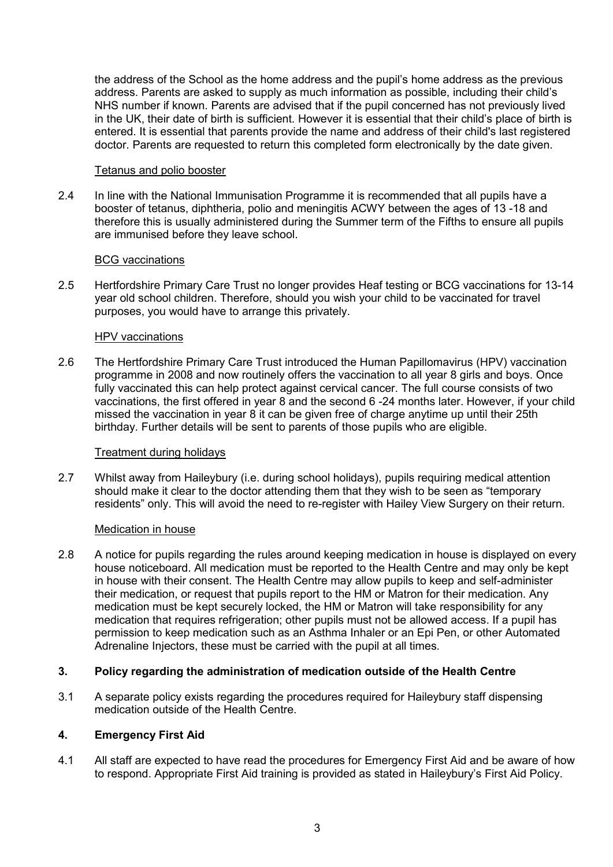the address of the School as the home address and the pupil's home address as the previous address. Parents are asked to supply as much information as possible, including their child's NHS number if known. Parents are advised that if the pupil concerned has not previously lived in the UK, their date of birth is sufficient. However it is essential that their child's place of birth is entered. It is essential that parents provide the name and address of their child's last registered doctor. Parents are requested to return this completed form electronically by the date given.

## Tetanus and polio booster

2.4 In line with the National Immunisation Programme it is recommended that all pupils have a booster of tetanus, diphtheria, polio and meningitis ACWY between the ages of 13 -18 and therefore this is usually administered during the Summer term of the Fifths to ensure all pupils are immunised before they leave school.

## BCG vaccinations

2.5 Hertfordshire Primary Care Trust no longer provides Heaf testing or BCG vaccinations for 13-14 year old school children. Therefore, should you wish your child to be vaccinated for travel purposes, you would have to arrange this privately.

## HPV vaccinations

2.6 The Hertfordshire Primary Care Trust introduced the Human Papillomavirus (HPV) vaccination programme in 2008 and now routinely offers the vaccination to all year 8 girls and boys. Once fully vaccinated this can help protect against cervical cancer. The full course consists of two vaccinations, the first offered in year 8 and the second 6 -24 months later. However, if your child missed the vaccination in year 8 it can be given free of charge anytime up until their 25th birthday. Further details will be sent to parents of those pupils who are eligible.

# Treatment during holidays

2.7 Whilst away from Haileybury (i.e. during school holidays), pupils requiring medical attention should make it clear to the doctor attending them that they wish to be seen as "temporary residents" only. This will avoid the need to re-register with Hailey View Surgery on their return.

# Medication in house

2.8 A notice for pupils regarding the rules around keeping medication in house is displayed on every house noticeboard. All medication must be reported to the Health Centre and may only be kept in house with their consent. The Health Centre may allow pupils to keep and self-administer their medication, or request that pupils report to the HM or Matron for their medication. Any medication must be kept securely locked, the HM or Matron will take responsibility for any medication that requires refrigeration; other pupils must not be allowed access. If a pupil has permission to keep medication such as an Asthma Inhaler or an Epi Pen, or other Automated Adrenaline Injectors, these must be carried with the pupil at all times.

# **3. Policy regarding the administration of medication outside of the Health Centre**

3.1 A separate policy exists regarding the procedures required for Haileybury staff dispensing medication outside of the Health Centre.

# **4. Emergency First Aid**

4.1 All staff are expected to have read the procedures for Emergency First Aid and be aware of how to respond. Appropriate First Aid training is provided as stated in Haileybury's First Aid Policy.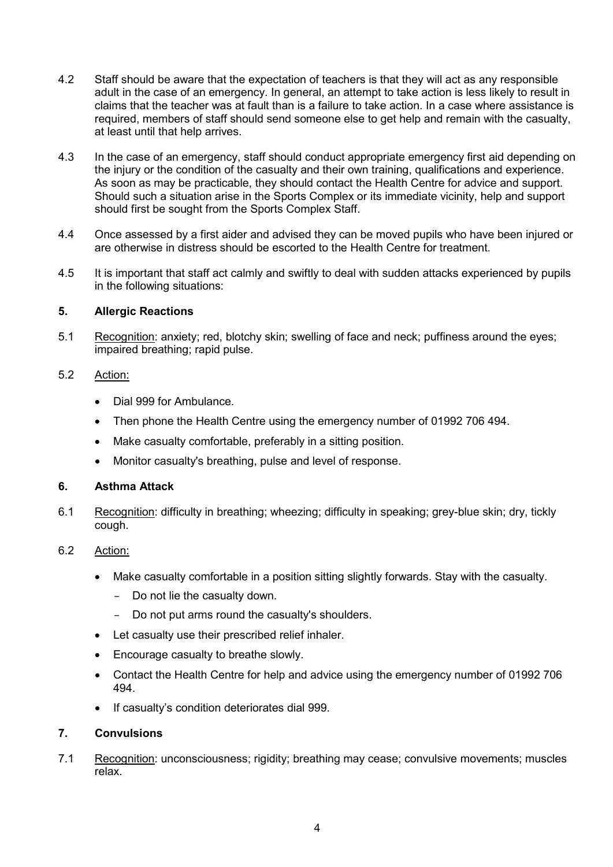- 4.2 Staff should be aware that the expectation of teachers is that they will act as any responsible adult in the case of an emergency. In general, an attempt to take action is less likely to result in claims that the teacher was at fault than is a failure to take action. In a case where assistance is required, members of staff should send someone else to get help and remain with the casualty, at least until that help arrives.
- 4.3 In the case of an emergency, staff should conduct appropriate emergency first aid depending on the injury or the condition of the casualty and their own training, qualifications and experience. As soon as may be practicable, they should contact the Health Centre for advice and support. Should such a situation arise in the Sports Complex or its immediate vicinity, help and support should first be sought from the Sports Complex Staff.
- 4.4 Once assessed by a first aider and advised they can be moved pupils who have been injured or are otherwise in distress should be escorted to the Health Centre for treatment.
- 4.5 It is important that staff act calmly and swiftly to deal with sudden attacks experienced by pupils in the following situations:

# **5. Allergic Reactions**

5.1 Recognition: anxiety; red, blotchy skin; swelling of face and neck; puffiness around the eyes; impaired breathing; rapid pulse.

# 5.2 Action:

- Dial 999 for Ambulance.
- Then phone the Health Centre using the emergency number of 01992 706 494.
- Make casualty comfortable, preferably in a sitting position.
- Monitor casualty's breathing, pulse and level of response.

# **6. Asthma Attack**

6.1 Recognition: difficulty in breathing; wheezing; difficulty in speaking; grey-blue skin; dry, tickly cough.

# 6.2 Action:

- Make casualty comfortable in a position sitting slightly forwards. Stay with the casualty.
	- Do not lie the casualty down.
	- Do not put arms round the casualty's shoulders.
- Let casualty use their prescribed relief inhaler.
- Encourage casualty to breathe slowly.
- Contact the Health Centre for help and advice using the emergency number of 01992 706 494.
- If casualty's condition deteriorates dial 999.

# **7. Convulsions**

7.1 Recognition: unconsciousness; rigidity; breathing may cease; convulsive movements; muscles relax.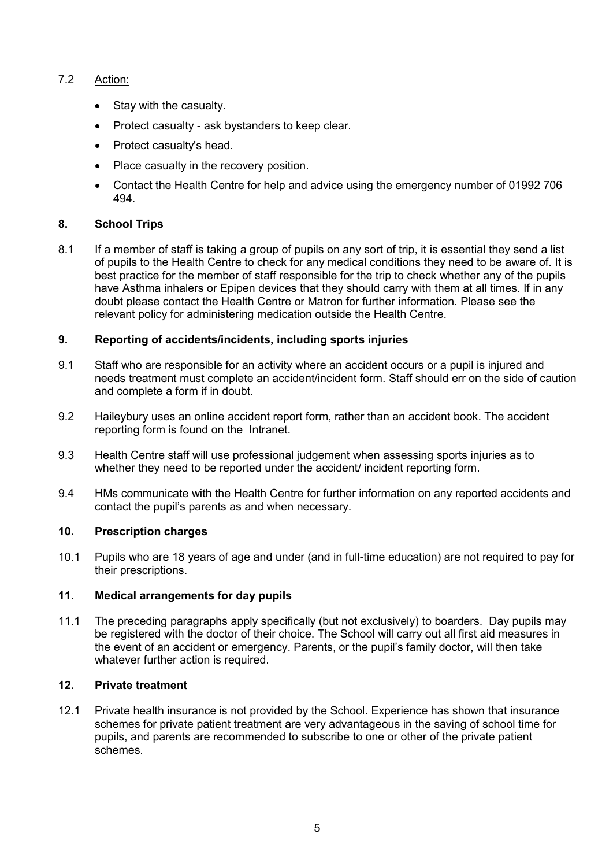# 7.2 Action:

- Stay with the casualty.
- Protect casualty ask bystanders to keep clear.
- Protect casualty's head.
- Place casualty in the recovery position.
- Contact the Health Centre for help and advice using the emergency number of 01992 706 494.

# **8. School Trips**

8.1 If a member of staff is taking a group of pupils on any sort of trip, it is essential they send a list of pupils to the Health Centre to check for any medical conditions they need to be aware of. It is best practice for the member of staff responsible for the trip to check whether any of the pupils have Asthma inhalers or Epipen devices that they should carry with them at all times. If in any doubt please contact the Health Centre or Matron for further information. Please see the relevant policy for administering medication outside the Health Centre.

# **9. Reporting of accidents/incidents, including sports injuries**

- 9.1 Staff who are responsible for an activity where an accident occurs or a pupil is injured and needs treatment must complete an accident/incident form. Staff should err on the side of caution and complete a form if in doubt.
- 9.2 Haileybury uses an online accident report form, rather than an accident book. The accident reporting form is found on the Intranet.
- 9.3 Health Centre staff will use professional judgement when assessing sports injuries as to whether they need to be reported under the accident/ incident reporting form.
- 9.4 HMs communicate with the Health Centre for further information on any reported accidents and contact the pupil's parents as and when necessary.

# **10. Prescription charges**

10.1 Pupils who are 18 years of age and under (and in full-time education) are not required to pay for their prescriptions.

# **11. Medical arrangements for day pupils**

11.1 The preceding paragraphs apply specifically (but not exclusively) to boarders. Day pupils may be registered with the doctor of their choice. The School will carry out all first aid measures in the event of an accident or emergency. Parents, or the pupil's family doctor, will then take whatever further action is required.

# **12. Private treatment**

12.1 Private health insurance is not provided by the School. Experience has shown that insurance schemes for private patient treatment are very advantageous in the saving of school time for pupils, and parents are recommended to subscribe to one or other of the private patient schemes.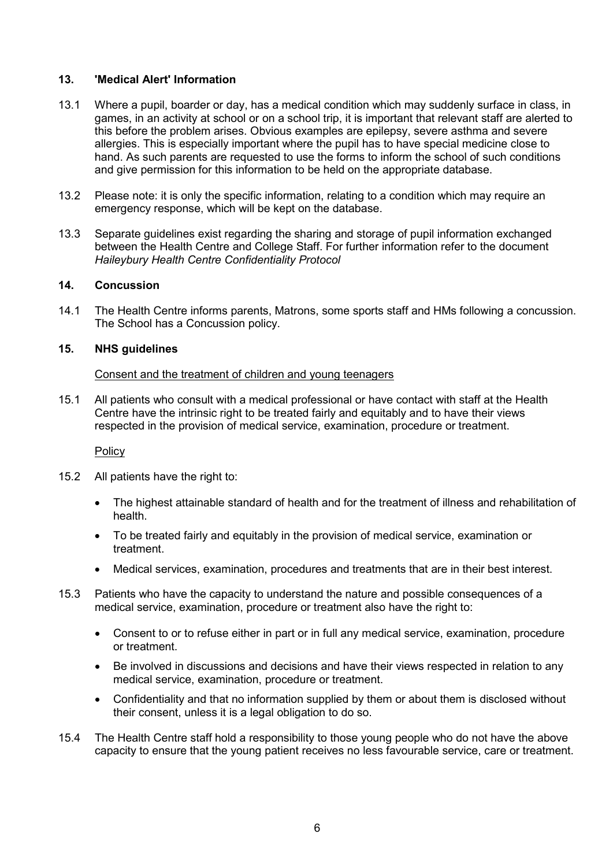# **13. 'Medical Alert' Information**

- 13.1 Where a pupil, boarder or day, has a medical condition which may suddenly surface in class, in games, in an activity at school or on a school trip, it is important that relevant staff are alerted to this before the problem arises. Obvious examples are epilepsy, severe asthma and severe allergies. This is especially important where the pupil has to have special medicine close to hand. As such parents are requested to use the forms to inform the school of such conditions and give permission for this information to be held on the appropriate database.
- 13.2 Please note: it is only the specific information, relating to a condition which may require an emergency response, which will be kept on the database.
- 13.3 Separate guidelines exist regarding the sharing and storage of pupil information exchanged between the Health Centre and College Staff. For further information refer to the document *Haileybury Health Centre Confidentiality Protocol*

# **14. Concussion**

14.1 The Health Centre informs parents, Matrons, some sports staff and HMs following a concussion. The School has a Concussion policy.

# **15. NHS guidelines**

## Consent and the treatment of children and young teenagers

15.1 All patients who consult with a medical professional or have contact with staff at the Health Centre have the intrinsic right to be treated fairly and equitably and to have their views respected in the provision of medical service, examination, procedure or treatment.

## **Policy**

- 15.2 All patients have the right to:
	- The highest attainable standard of health and for the treatment of illness and rehabilitation of health.
	- To be treated fairly and equitably in the provision of medical service, examination or treatment.
	- Medical services, examination, procedures and treatments that are in their best interest.
- 15.3 Patients who have the capacity to understand the nature and possible consequences of a medical service, examination, procedure or treatment also have the right to:
	- Consent to or to refuse either in part or in full any medical service, examination, procedure or treatment.
	- Be involved in discussions and decisions and have their views respected in relation to any medical service, examination, procedure or treatment.
	- Confidentiality and that no information supplied by them or about them is disclosed without their consent, unless it is a legal obligation to do so.
- 15.4 The Health Centre staff hold a responsibility to those young people who do not have the above capacity to ensure that the young patient receives no less favourable service, care or treatment.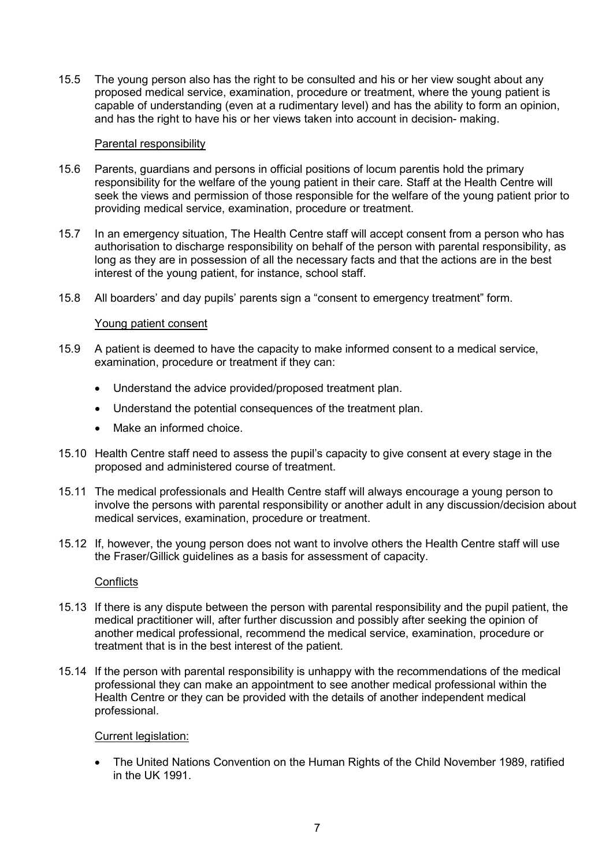15.5 The young person also has the right to be consulted and his or her view sought about any proposed medical service, examination, procedure or treatment, where the young patient is capable of understanding (even at a rudimentary level) and has the ability to form an opinion, and has the right to have his or her views taken into account in decision- making.

## Parental responsibility

- 15.6 Parents, guardians and persons in official positions of locum parentis hold the primary responsibility for the welfare of the young patient in their care. Staff at the Health Centre will seek the views and permission of those responsible for the welfare of the young patient prior to providing medical service, examination, procedure or treatment.
- 15.7 In an emergency situation, The Health Centre staff will accept consent from a person who has authorisation to discharge responsibility on behalf of the person with parental responsibility, as long as they are in possession of all the necessary facts and that the actions are in the best interest of the young patient, for instance, school staff.
- 15.8 All boarders' and day pupils' parents sign a "consent to emergency treatment" form.

## Young patient consent

- 15.9 A patient is deemed to have the capacity to make informed consent to a medical service, examination, procedure or treatment if they can:
	- Understand the advice provided/proposed treatment plan.
	- Understand the potential consequences of the treatment plan.
	- Make an informed choice.
- 15.10 Health Centre staff need to assess the pupil's capacity to give consent at every stage in the proposed and administered course of treatment.
- 15.11 The medical professionals and Health Centre staff will always encourage a young person to involve the persons with parental responsibility or another adult in any discussion/decision about medical services, examination, procedure or treatment.
- 15.12 If, however, the young person does not want to involve others the Health Centre staff will use the Fraser/Gillick guidelines as a basis for assessment of capacity.

## **Conflicts**

- 15.13 If there is any dispute between the person with parental responsibility and the pupil patient, the medical practitioner will, after further discussion and possibly after seeking the opinion of another medical professional, recommend the medical service, examination, procedure or treatment that is in the best interest of the patient.
- 15.14 If the person with parental responsibility is unhappy with the recommendations of the medical professional they can make an appointment to see another medical professional within the Health Centre or they can be provided with the details of another independent medical professional.

## Current legislation:

• The United Nations Convention on the Human Rights of the Child November 1989, ratified in the UK 1991.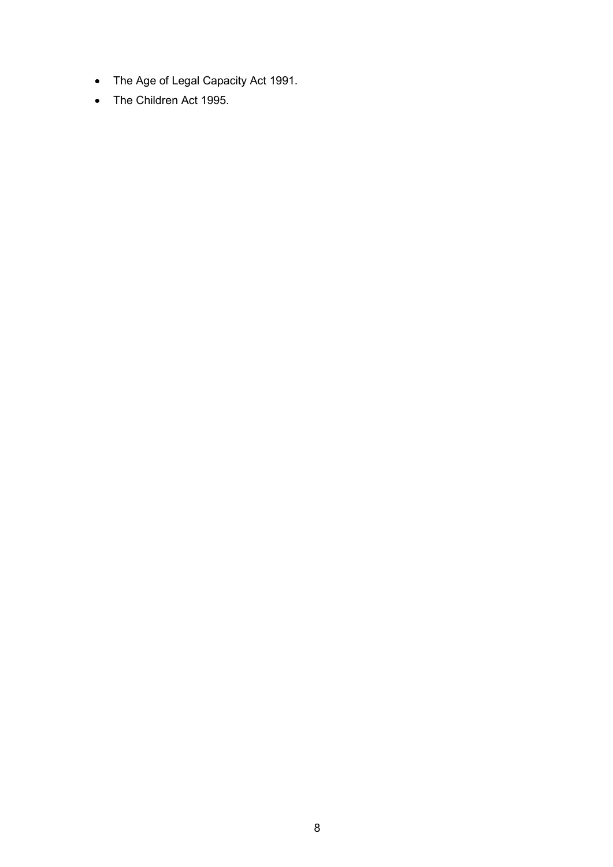- The Age of Legal Capacity Act 1991.
- The Children Act 1995.